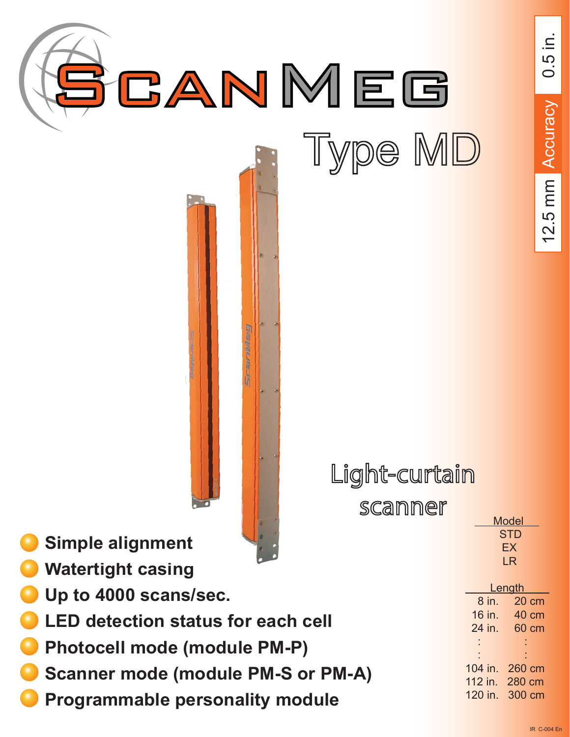